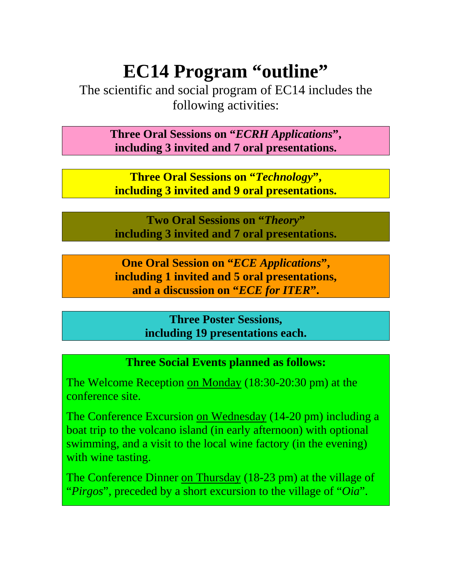# **EC14 Program "outline"**

The scientific and social program of EC14 includes the following activities:

> **Three Oral Sessions on "***ECRH Applications***", including 3 invited and 7 oral presentations.**

**Three Oral Sessions on "***Technology***", including 3 invited and 9 oral presentations.** 

**Two Oral Sessions on "***Theory***" including 3 invited and 7 oral presentations.** 

**One Oral Session on "***ECE Applications***", including 1 invited and 5 oral presentations, and a discussion on "***ECE for ITER***".** 

> **Three Poster Sessions, including 19 presentations each.**

#### **Three Social Events planned as follows:**

The Welcome Reception on Monday (18:30-20:30 pm) at the conference site.

The Conference Excursion on Wednesday (14-20 pm) including a boat trip to the volcano island (in early afternoon) with optional swimming, and a visit to the local wine factory (in the evening) with wine tasting.

The Conference Dinner on Thursday (18-23 pm) at the village of "*Pirgos*", preceded by a short excursion to the village of "*Oia*".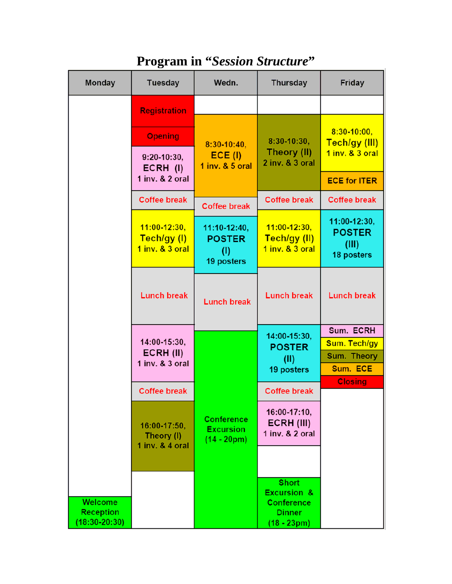| <b>Monday</b>                                    | <b>Tuesday</b>                                     | Wedn.                                                  | <b>Thursday</b>                                                                               | <b>Friday</b>                                        |
|--------------------------------------------------|----------------------------------------------------|--------------------------------------------------------|-----------------------------------------------------------------------------------------------|------------------------------------------------------|
|                                                  | <b>Registration</b>                                |                                                        |                                                                                               |                                                      |
|                                                  | <b>Opening</b>                                     | $8:30-10:40,$                                          | $8:30-10:30$ ,<br>Theory (II)<br>2 inv. & 3 oral                                              | $8:30 - 10:00$<br>Tech/gy (III)                      |
|                                                  | $9:20-10:30,$<br>ECRH (I)                          | $ECE$ (I)<br>1 inv. & 5 oral                           |                                                                                               | 1 inv. & 3 oral                                      |
|                                                  | 1 inv. & 2 oral                                    |                                                        |                                                                                               | <b>ECE for ITER</b>                                  |
|                                                  | <b>Coffee break</b>                                | <b>Coffee break</b>                                    | <b>Coffee break</b>                                                                           | <b>Coffee break</b>                                  |
|                                                  | $11:00 - 12:30,$<br>Tech/gy (I)<br>1 inv. & 3 oral | 11:10-12:40,<br><b>POSTER</b><br>(1)<br>19 posters     | $11:00 - 12:30$ ,<br>Tech/gy (II)<br>1 inv. & 3 oral                                          | 11:00-12:30,<br><b>POSTER</b><br>(III)<br>18 posters |
|                                                  | <b>Lunch break</b>                                 | <b>Lunch break</b>                                     | <b>Lunch break</b>                                                                            | <b>Lunch break</b>                                   |
|                                                  | 14:00-15:30,<br>ECRH (II)<br>$1$ inv. $& 3$ oral   |                                                        | 14:00-15:30,<br><b>POSTER</b><br>(II)<br>19 posters                                           | Sum. ECRH                                            |
|                                                  |                                                    |                                                        |                                                                                               | Sum. Tech/gy                                         |
|                                                  |                                                    |                                                        |                                                                                               | <b>Sum. Theory</b><br>Sum. ECE                       |
|                                                  |                                                    |                                                        |                                                                                               | <b>Closing</b>                                       |
|                                                  | <b>Coffee break</b>                                |                                                        | <b>Coffee break</b>                                                                           |                                                      |
|                                                  | 16:00-17:50,<br>Theory (I)<br>1 inv. & 4 oral      | <b>Conference</b><br><b>Excursion</b><br>$(14 - 20pm)$ | 16:00-17:10,<br>ECRH (III)<br>1 inv. & 2 oral                                                 |                                                      |
|                                                  |                                                    |                                                        |                                                                                               |                                                      |
| Welcome<br><b>Reception</b><br>$(18:30 - 20:30)$ |                                                    |                                                        | <b>Short</b><br><b>Excursion &amp;</b><br><b>Conference</b><br><b>Dinner</b><br>$(18 - 23pm)$ |                                                      |

### **Program in "***Session Structure***"**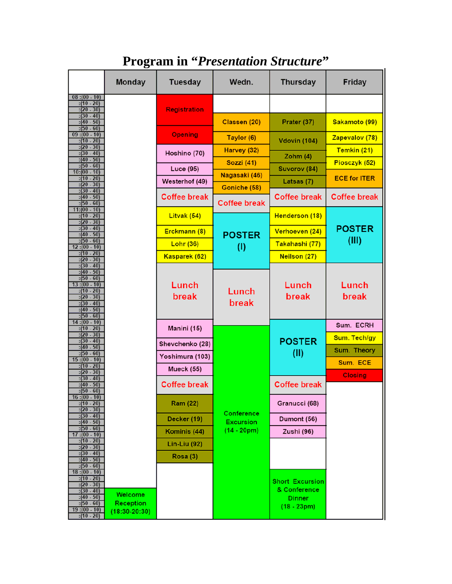### **Program in "***Presentation Structure***"**

|                                                                                                                                                  | Monday                                    | <b>Tuesday</b>      | Wedn.                               | <b>Thursday</b>                                                          | <b>Friday</b>                  |
|--------------------------------------------------------------------------------------------------------------------------------------------------|-------------------------------------------|---------------------|-------------------------------------|--------------------------------------------------------------------------|--------------------------------|
| $08:(00-.10)$<br>$:(10 - 20)$<br>$:(20 - 30)$<br>$:(30 - 40)$                                                                                    |                                           | <b>Registration</b> |                                     |                                                                          |                                |
| $:(40 - 50)$<br>$:(50 - 60)$                                                                                                                     |                                           |                     | Classen (20)                        | Prater (37)                                                              | Sakamoto (99)                  |
| $09:(00-.10)$<br>:(10 - 20)                                                                                                                      |                                           | <b>Opening</b>      | Taylor (6)                          | <b>Vdovin (104)</b>                                                      | Zapevalov (78)                 |
| $:(20 - 30)$<br>$:(30 - 40)$                                                                                                                     |                                           | Hoshino (70)        | Harvey (32)                         | Zohm $(4)$                                                               | Temkin (21)                    |
| $-50$<br>: (40)<br>$:(50 - 60)$<br>$10:(00 - 10)$                                                                                                |                                           | Luce (95)           | <b>Sozzi (41)</b>                   | Suvorov (84)                                                             | Piosczyk (52)                  |
| :(10 - 20)<br>$:(20 - 30)$                                                                                                                       |                                           | Westerhof (49)      | Nagasaki (46)                       | Latsas (7)                                                               | <b>ECE for ITER</b>            |
| $:(30 - 40)$<br>$-50$<br>(40)<br>$:(50 - 60)$                                                                                                    |                                           | <b>Coffee break</b> | Goniche (58)<br><b>Coffee break</b> | <b>Coffee break</b>                                                      | <b>Coffee break</b>            |
| $11:(00-10)$<br>$:(10 - 20)$                                                                                                                     |                                           | Litvak (54)         |                                     | Henderson (18)                                                           |                                |
| $:(20 - 30)$<br>$-40$<br>: (30)                                                                                                                  |                                           | Erckmann (8)        |                                     | Verhoeven (24)                                                           | <b>POSTER</b>                  |
| $-50$<br>(40)<br>$:(50 - 60)$<br>12 :(00 - 10)                                                                                                   |                                           | <b>Lohr (36)</b>    | <b>POSTER</b><br>(1)                | Takahashi (77)                                                           | (III)                          |
| $:(10 - 20)$<br>$:(20 - 30)$                                                                                                                     |                                           | Kasparek (62)       |                                     | <b>Neilson (27)</b>                                                      |                                |
| $-40$<br>:30<br>$-50$<br>(40)<br>$:(50 - 60)$<br>$13:(00-10)$<br>$:(10 - 20)$<br>$:(20 - 30)$<br>$-40$<br>:30<br>$-50$<br>: (40)<br>$:(50 - 60)$ |                                           | Lunch<br>break      | Lunch<br>break                      | Lunch<br>break                                                           | Lunch<br>break                 |
| $14:(00-10)$<br>$:(10 - 20)$<br>$:(20 - 30)$                                                                                                     |                                           | Manini (15)         |                                     |                                                                          | Sum. ECRH                      |
| $-40$<br>: (30)<br>$-50$<br>:(40)                                                                                                                |                                           | Shevchenko (28)     |                                     | <b>POSTER</b>                                                            | Sum. Tech/gy                   |
| :(50 - 60)<br>15:(00 - 10)                                                                                                                       |                                           | Yoshimura (103)     |                                     | (II)                                                                     | <b>Sum. Theory</b><br>Sum. ECE |
| $:(10 - 20)$<br>$-30$<br>(20)                                                                                                                    |                                           | Mueck (55)          |                                     |                                                                          | <b>Closing</b>                 |
| $-40$<br>:30<br>$-50$<br>: (40)<br>$:(50 - 60)$                                                                                                  |                                           | <b>Coffee break</b> |                                     | <b>Coffee break</b>                                                      |                                |
| 16: (00 - 10)<br>$:(10 - 20)$<br>$:(20 - 30)$                                                                                                    |                                           | <b>Ram (22)</b>     |                                     | Granucci (68)                                                            |                                |
| $:(30 - 40)$<br>$:(40 - 50)$                                                                                                                     |                                           | Decker (19)         | Conference<br><b>Excursion</b>      | Dumont (56)                                                              |                                |
| $(50 - 60)$<br>$17:(00-10)$                                                                                                                      |                                           | Kominis (44)        | $(14 - 20pm)$                       | Zushi (96)                                                               |                                |
| $:(10 - 20)$<br>$:(20 - 30)$                                                                                                                     |                                           | Lin-Liu (92)        |                                     |                                                                          |                                |
| $:(30 - 40)$<br>$:(40 - 50)$<br>$:(50 - 60)$                                                                                                     |                                           | Rosa (3)            |                                     |                                                                          |                                |
| 18 :(00 - 10)<br>$:(10 - 20)$<br>$:(20 - 30)$<br>$:(30 - 40)$<br>$:(40 - 50)$<br>$:(50 - 60)$<br>$19:(00-10)$<br>$:(10 - 20)$                    | Welcome<br>Reception<br>$(18:30 - 20:30)$ |                     |                                     | <b>Short Excursion</b><br>& Conference<br><b>Dinner</b><br>$(18 - 23pm)$ |                                |